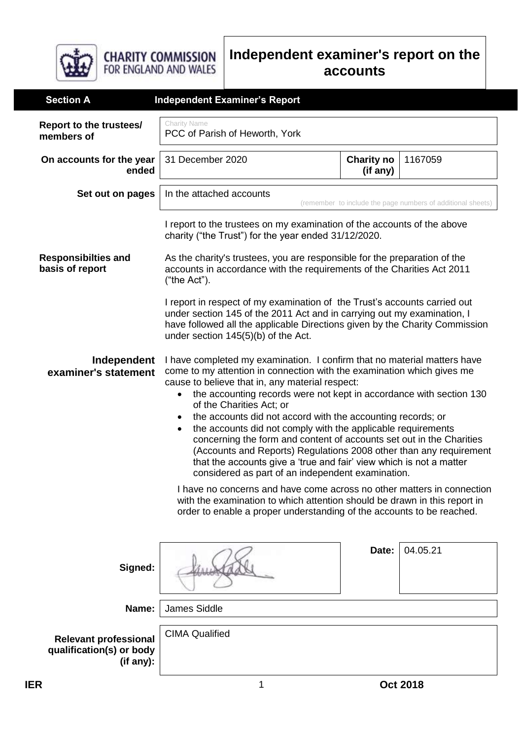

## **Independent examiner's report on the accounts**

| <b>Section A</b>                                                      | <b>Independent Examiner's Report</b>                                                                                                                                                                                                                                                                                                                                                                                                                                                                                                                                                                                                                                                                                                |                               |                 |
|-----------------------------------------------------------------------|-------------------------------------------------------------------------------------------------------------------------------------------------------------------------------------------------------------------------------------------------------------------------------------------------------------------------------------------------------------------------------------------------------------------------------------------------------------------------------------------------------------------------------------------------------------------------------------------------------------------------------------------------------------------------------------------------------------------------------------|-------------------------------|-----------------|
| Report to the trustees/<br>members of                                 | <b>Charity Name</b><br>PCC of Parish of Heworth, York                                                                                                                                                                                                                                                                                                                                                                                                                                                                                                                                                                                                                                                                               |                               |                 |
| On accounts for the year<br>ended                                     | 31 December 2020                                                                                                                                                                                                                                                                                                                                                                                                                                                                                                                                                                                                                                                                                                                    | <b>Charity no</b><br>(if any) | 1167059         |
| Set out on pages                                                      | In the attached accounts<br>(remember to include the page numbers of additional sheets)                                                                                                                                                                                                                                                                                                                                                                                                                                                                                                                                                                                                                                             |                               |                 |
|                                                                       | I report to the trustees on my examination of the accounts of the above<br>charity ("the Trust") for the year ended 31/12/2020.                                                                                                                                                                                                                                                                                                                                                                                                                                                                                                                                                                                                     |                               |                 |
| <b>Responsibilties and</b><br>basis of report                         | As the charity's trustees, you are responsible for the preparation of the<br>accounts in accordance with the requirements of the Charities Act 2011<br>("the Act").                                                                                                                                                                                                                                                                                                                                                                                                                                                                                                                                                                 |                               |                 |
|                                                                       | I report in respect of my examination of the Trust's accounts carried out<br>under section 145 of the 2011 Act and in carrying out my examination, I<br>have followed all the applicable Directions given by the Charity Commission<br>under section 145(5)(b) of the Act.                                                                                                                                                                                                                                                                                                                                                                                                                                                          |                               |                 |
| Independent<br>examiner's statement                                   | I have completed my examination. I confirm that no material matters have<br>come to my attention in connection with the examination which gives me<br>cause to believe that in, any material respect:<br>the accounting records were not kept in accordance with section 130<br>$\bullet$<br>of the Charities Act; or<br>the accounts did not accord with the accounting records; or<br>the accounts did not comply with the applicable requirements<br>٠<br>concerning the form and content of accounts set out in the Charities<br>(Accounts and Reports) Regulations 2008 other than any requirement<br>that the accounts give a 'true and fair' view which is not a matter<br>considered as part of an independent examination. |                               |                 |
|                                                                       | I have no concerns and have come across no other matters in connection<br>with the examination to which attention should be drawn in this report in<br>order to enable a proper understanding of the accounts to be reached.                                                                                                                                                                                                                                                                                                                                                                                                                                                                                                        |                               |                 |
| Signed:                                                               |                                                                                                                                                                                                                                                                                                                                                                                                                                                                                                                                                                                                                                                                                                                                     | Date:                         | 04.05.21        |
| Name:                                                                 | James Siddle                                                                                                                                                                                                                                                                                                                                                                                                                                                                                                                                                                                                                                                                                                                        |                               |                 |
| <b>Relevant professional</b><br>qualification(s) or body<br>(if any): | <b>CIMA Qualified</b>                                                                                                                                                                                                                                                                                                                                                                                                                                                                                                                                                                                                                                                                                                               |                               |                 |
| <b>IER</b>                                                            | 1                                                                                                                                                                                                                                                                                                                                                                                                                                                                                                                                                                                                                                                                                                                                   |                               | <b>Oct 2018</b> |